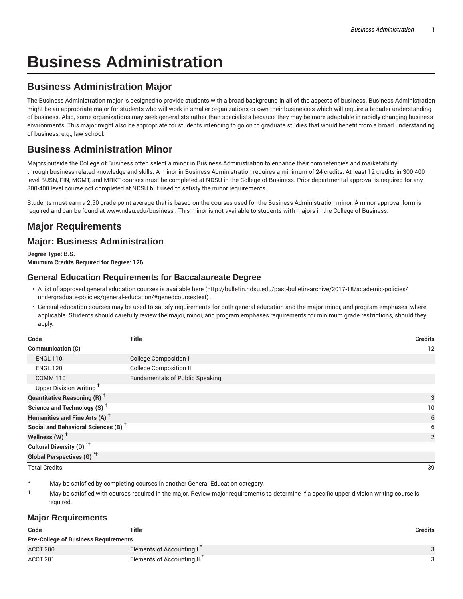# **Business Administration**

## **Business Administration Major**

The Business Administration major is designed to provide students with a broad background in all of the aspects of business. Business Administration might be an appropriate major for students who will work in smaller organizations or own their businesses which will require a broader understanding of business. Also, some organizations may seek generalists rather than specialists because they may be more adaptable in rapidly changing business environments. This major might also be appropriate for students intending to go on to graduate studies that would benefit from a broad understanding of business, e.g., law school.

# **Business Administration Minor**

Majors outside the College of Business often select a minor in Business Administration to enhance their competencies and marketability through business-related knowledge and skills. A minor in Business Administration requires a minimum of 24 credits. At least 12 credits in 300-400 level BUSN, FIN, MGMT, and MRKT courses must be completed at NDSU in the College of Business. Prior departmental approval is required for any 300-400 level course not completed at NDSU but used to satisfy the minor requirements.

Students must earn a 2.50 grade point average that is based on the courses used for the Business Administration minor. A minor approval form is required and can be found at www.ndsu.edu/business . This minor is not available to students with majors in the College of Business.

# **Major Requirements**

## **Major: Business Administration**

**Degree Type: B.S. Minimum Credits Required for Degree: 126**

#### **General Education Requirements for Baccalaureate Degree**

- A list of approved general education courses is available here (http://bulletin.ndsu.edu/past-bulletin-archive/2017-18/academic-policies/ undergraduate-policies/general-education/#genedcoursestext) .
- General education courses may be used to satisfy requirements for both general education and the major, minor, and program emphases, where applicable. Students should carefully review the major, minor, and program emphases requirements for minimum grade restrictions, should they apply.

| Code                                                 | <b>Title</b>                           | <b>Credits</b> |
|------------------------------------------------------|----------------------------------------|----------------|
| Communication (C)                                    |                                        | 12             |
| <b>ENGL 110</b>                                      | <b>College Composition I</b>           |                |
| <b>ENGL 120</b>                                      | <b>College Composition II</b>          |                |
| <b>COMM 110</b>                                      | <b>Fundamentals of Public Speaking</b> |                |
| Upper Division Writing <sup>†</sup>                  |                                        |                |
| <b>Quantitative Reasoning (R)</b> <sup>†</sup>       |                                        | 3              |
| Science and Technology (S) <sup><math>†</math></sup> |                                        | 10             |
| Humanities and Fine Arts (A) <sup>+</sup>            |                                        | 6              |
| Social and Behavioral Sciences (B) <sup>+</sup>      |                                        | 6              |
| Wellness (W) $^{\dagger}$                            |                                        | 2              |
| Cultural Diversity (D) <sup>*†</sup>                 |                                        |                |
| <b>Global Perspectives (G)<sup>*†</sup></b>          |                                        |                |

Total Credits 39

May be satisfied by completing courses in another General Education category.

† May be satisfied with courses required in the major. Review major requirements to determine if a specific upper division writing course is required.

#### **Major Requirements**

| Code                                        | Title                     | <b>Credits</b> |
|---------------------------------------------|---------------------------|----------------|
| <b>Pre-College of Business Requirements</b> |                           |                |
| ACCT 200                                    | Elements of Accounting I  | Q              |
| ACCT 201                                    | Elements of Accounting II |                |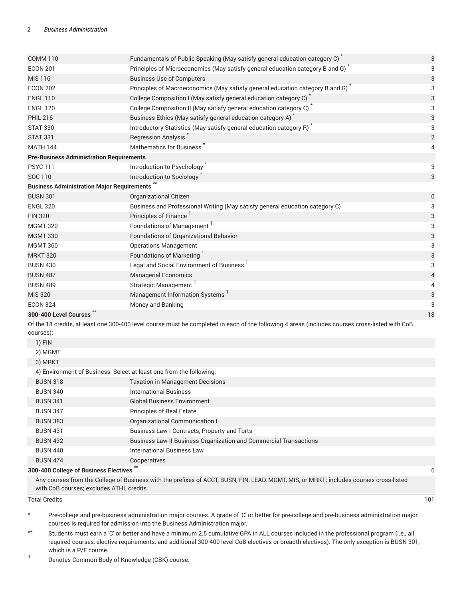| <b>COMM 110</b>                                   | Fundamentals of Public Speaking (May satisfy general education category C) <sup>*</sup>                                                         | $\sqrt{3}$     |
|---------------------------------------------------|-------------------------------------------------------------------------------------------------------------------------------------------------|----------------|
| <b>ECON 201</b>                                   | Principles of Microeconomics (May satisfy general education category B and G) <sup>*</sup>                                                      | 3              |
| <b>MIS 116</b>                                    | <b>Business Use of Computers</b>                                                                                                                | 3              |
| <b>ECON 202</b>                                   | Principles of Macroeconomics (May satisfy general education category B and G)                                                                   | 3              |
| <b>ENGL 110</b>                                   | College Composition I (May satisfy general education category C)                                                                                | 3              |
| <b>ENGL 120</b>                                   | College Composition II (May satisfy general education category C)                                                                               | 3              |
| <b>PHIL 216</b>                                   | Business Ethics (May satisfy general education category A) <sup>*</sup>                                                                         | 3              |
| <b>STAT 330</b>                                   | Introductory Statistics (May satisfy general education category R) <sup>*</sup>                                                                 | 3              |
| <b>STAT 331</b>                                   | <b>Regression Analysis</b>                                                                                                                      | $\overline{2}$ |
| <b>MATH 144</b>                                   | Mathematics for Business                                                                                                                        | 4              |
| <b>Pre-Business Administration Requirements</b>   |                                                                                                                                                 |                |
| <b>PSYC 111</b>                                   | Introduction to Psychology                                                                                                                      | 3              |
| SOC 110                                           | Introduction to Sociology                                                                                                                       | 3              |
| <b>Business Administration Major Requirements</b> |                                                                                                                                                 |                |
| <b>BUSN 301</b>                                   | <b>Organizational Citizen</b>                                                                                                                   | $\mathbf 0$    |
| <b>ENGL 320</b>                                   | Business and Professional Writing (May satisfy general education category C)                                                                    | 3              |
| <b>FIN 320</b>                                    | Principles of Finance <sup>1</sup>                                                                                                              | 3              |
| <b>MGMT 320</b>                                   | Foundations of Management                                                                                                                       | 3              |
| <b>MGMT 330</b>                                   | Foundations of Organizational Behavior                                                                                                          | 3              |
| <b>MGMT 360</b>                                   | <b>Operations Management</b>                                                                                                                    | 3              |
| <b>MRKT 320</b>                                   | <b>Foundations of Marketing</b>                                                                                                                 | 3              |
| <b>BUSN 430</b>                                   | Legal and Social Environment of Business                                                                                                        | 3              |
| <b>BUSN 487</b>                                   | <b>Managerial Economics</b>                                                                                                                     | 4              |
| <b>BUSN 489</b>                                   | Strategic Management                                                                                                                            | 4              |
| <b>MIS 320</b>                                    | Management Information Systems                                                                                                                  | 3              |
| <b>ECON 324</b>                                   | Money and Banking                                                                                                                               | 3              |
| 300-400 Level Courses                             |                                                                                                                                                 | 18             |
| courses):                                         | Of the 18 credits, at least one 300-400 level course must be completed in each of the following 4 areas (includes courses cross-listed with CoB |                |
| 1) FIN                                            |                                                                                                                                                 |                |
|                                                   |                                                                                                                                                 |                |

| 2) MGMT                                                             |                                                                   |  |
|---------------------------------------------------------------------|-------------------------------------------------------------------|--|
| 3) MRKT                                                             |                                                                   |  |
| 4) Environment of Business: Select at least one from the following: |                                                                   |  |
| <b>BUSN 318</b>                                                     | <b>Taxation in Management Decisions</b>                           |  |
| <b>BUSN 340</b>                                                     | <b>International Business</b>                                     |  |
| <b>BUSN 341</b>                                                     | <b>Global Business Environment</b>                                |  |
| <b>BUSN 347</b>                                                     | <b>Principles of Real Estate</b>                                  |  |
| <b>BUSN 383</b>                                                     | Organizational Communication I                                    |  |
| <b>BUSN 431</b>                                                     | Business Law I-Contracts, Property and Torts                      |  |
| <b>BUSN 432</b>                                                     | Business Law II-Business Organization and Commercial Transactions |  |
| <b>BUSN 440</b>                                                     | <b>International Business Law</b>                                 |  |
| <b>BUSN 474</b>                                                     | Cooperatives                                                      |  |
| 300-400 College of Business Electives                               |                                                                   |  |

#### **300-400 College of Business Electives**

Any courses from the College of Business with the prefixes of ACCT, BUSN, FIN, LEAD, MGMT, MIS, or MRKT; includes courses cross-listed with CoB courses; excludes ATHL credits

Total Credits 101

- \* Pre-college and pre-business administration major courses. A grade of 'C' or better for pre-college and pre-business administration major courses is required for admission into the Business Administration major.
- \*\* Students must earn a 'C' or better and have a minimum 2.5 cumulative GPA in ALL courses included in the professional program (i.e., all required courses, elective requirements, and additional 300-400 level CoB electives or breadth electives). The only exception is BUSN 301, which is a P/F course.
- 1 Denotes Common Body of Knowledge (CBK) course.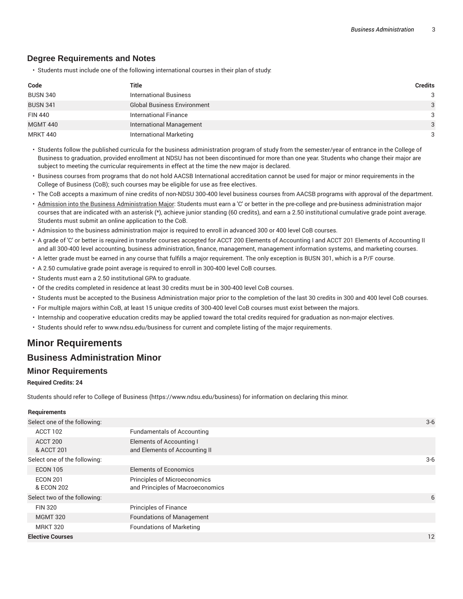#### **Degree Requirements and Notes**

• Students must include one of the following international courses in their plan of study:

| Code            | Title                              | <b>Credits</b> |
|-----------------|------------------------------------|----------------|
| <b>BUSN 340</b> | <b>International Business</b>      | 3              |
| <b>BUSN 341</b> | <b>Global Business Environment</b> | 3              |
| <b>FIN 440</b>  | International Finance              | 3              |
| <b>MGMT 440</b> | <b>International Management</b>    | 3              |
| <b>MRKT 440</b> | <b>International Marketing</b>     | 3              |

- Students follow the published curricula for the business administration program of study from the semester/year of entrance in the College of Business to graduation, provided enrollment at NDSU has not been discontinued for more than one year. Students who change their major are subject to meeting the curricular requirements in effect at the time the new major is declared.
- Business courses from programs that do not hold AACSB International accreditation cannot be used for major or minor requirements in the College of Business (CoB); such courses may be eligible for use as free electives.
- The CoB accepts a maximum of nine credits of non-NDSU 300-400 level business courses from AACSB programs with approval of the department.
- Admission into the Business Administration Major: Students must earn a 'C' or better in the pre-college and pre-business administration major courses that are indicated with an asterisk (\*), achieve junior standing (60 credits), and earn a 2.50 institutional cumulative grade point average. Students must submit an online application to the CoB.
- Admission to the business administration major is required to enroll in advanced 300 or 400 level CoB courses.
- A grade of 'C' or better is required in transfer courses accepted for ACCT 200 Elements of Accounting I and ACCT 201 Elements of Accounting II and all 300-400 level accounting, business administration, finance, management, management information systems, and marketing courses.
- A letter grade must be earned in any course that fulfills a major requirement. The only exception is BUSN 301, which is a P/F course.
- A 2.50 cumulative grade point average is required to enroll in 300-400 level CoB courses.
- Students must earn a 2.50 institutional GPA to graduate.
- Of the credits completed in residence at least 30 credits must be in 300-400 level CoB courses.
- Students must be accepted to the Business Administration major prior to the completion of the last 30 credits in 300 and 400 level CoB courses.
- For multiple majors within CoB, at least 15 unique credits of 300-400 level CoB courses must exist between the majors.
- Internship and cooperative education credits may be applied toward the total credits required for graduation as non-major electives.
- Students should refer to www.ndsu.edu/business for current and complete listing of the major requirements.

## **Minor Requirements**

### **Business Administration Minor**

#### **Minor Requirements**

#### **Required Credits: 24**

Students should refer to College of Business (https://www.ndsu.edu/business) for information on declaring this minor.

#### **Requirements**

| Select one of the following:  |                                                                         | $3-6$ |
|-------------------------------|-------------------------------------------------------------------------|-------|
| ACCT 102                      | <b>Fundamentals of Accounting</b>                                       |       |
| ACCT 200<br>& ACCT 201        | Elements of Accounting I<br>and Elements of Accounting II               |       |
| Select one of the following:  |                                                                         | $3-6$ |
| <b>ECON 105</b>               | <b>Elements of Economics</b>                                            |       |
| <b>ECON 201</b><br>& ECON 202 | <b>Principles of Microeconomics</b><br>and Principles of Macroeconomics |       |
| Select two of the following:  |                                                                         | 6     |
| <b>FIN 320</b>                | <b>Principles of Finance</b>                                            |       |
| <b>MGMT 320</b>               | <b>Foundations of Management</b>                                        |       |
| <b>MRKT 320</b>               | <b>Foundations of Marketing</b>                                         |       |
| <b>Elective Courses</b>       |                                                                         | 12    |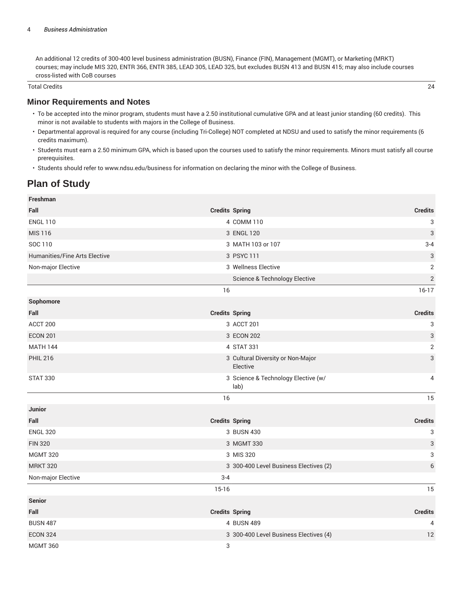An additional 12 credits of 300-400 level business administration (BUSN), Finance (FIN), Management (MGMT), or Marketing (MRKT) courses; may include MIS 320, ENTR 366, ENTR 385, LEAD 305, LEAD 325, but excludes BUSN 413 and BUSN 415; may also include courses cross-listed with CoB courses

Total Credits 24

#### **Minor Requirements and Notes**

- To be accepted into the minor program, students must have a 2.50 institutional cumulative GPA and at least junior standing (60 credits). This minor is not available to students with majors in the College of Business.
- Departmental approval is required for any course (including Tri-College) NOT completed at NDSU and used to satisfy the minor requirements (6 credits maximum).
- Students must earn a 2.50 minimum GPA, which is based upon the courses used to satisfy the minor requirements. Minors must satisfy all course prerequisites.
- Students should refer to www.ndsu.edu/business for information on declaring the minor with the College of Business.

## **Plan of Study**

**Freshman**

| <b>Freshman</b>               |                       |                                               |                           |
|-------------------------------|-----------------------|-----------------------------------------------|---------------------------|
| Fall                          | <b>Credits Spring</b> |                                               | <b>Credits</b>            |
| <b>ENGL 110</b>               |                       | 4 COMM 110                                    | 3                         |
| <b>MIS 116</b>                |                       | 3 ENGL 120                                    | 3                         |
| SOC 110                       |                       | 3 MATH 103 or 107                             | $3 - 4$                   |
| Humanities/Fine Arts Elective |                       | 3 PSYC 111                                    | 3                         |
| Non-major Elective            |                       | 3 Wellness Elective                           | $\overline{2}$            |
|                               |                       | Science & Technology Elective                 | $\overline{2}$            |
|                               | 16                    |                                               | $16-17$                   |
| Sophomore                     |                       |                                               |                           |
| Fall                          | <b>Credits Spring</b> |                                               | <b>Credits</b>            |
| ACCT 200                      |                       | 3 ACCT 201                                    | 3                         |
| <b>ECON 201</b>               |                       | 3 ECON 202                                    | $\sqrt{3}$                |
| <b>MATH 144</b>               |                       | 4 STAT 331                                    | $\mathbf 2$               |
| <b>PHIL 216</b>               |                       | 3 Cultural Diversity or Non-Major<br>Elective | 3                         |
| <b>STAT 330</b>               |                       | 3 Science & Technology Elective (w/<br>lab)   | 4                         |
|                               | 16                    |                                               | 15                        |
| <b>Junior</b>                 |                       |                                               |                           |
| Fall                          | <b>Credits Spring</b> |                                               | <b>Credits</b>            |
| <b>ENGL 320</b>               |                       | 3 BUSN 430                                    | $\ensuremath{\mathsf{3}}$ |
| <b>FIN 320</b>                |                       | 3 MGMT 330                                    | $\sqrt{3}$                |
| <b>MGMT 320</b>               |                       | 3 MIS 320                                     | 3                         |
| <b>MRKT 320</b>               |                       | 3 300-400 Level Business Electives (2)        | 6                         |
| Non-major Elective            | $3 - 4$               |                                               |                           |
|                               | $15 - 16$             |                                               | 15                        |
| <b>Senior</b>                 |                       |                                               |                           |
| Fall                          | <b>Credits Spring</b> |                                               | <b>Credits</b>            |
| <b>BUSN 487</b>               |                       | 4 BUSN 489                                    | 4                         |
| <b>ECON 324</b>               |                       | 3 300-400 Level Business Electives (4)        | 12                        |
| <b>MGMT 360</b>               | 3                     |                                               |                           |